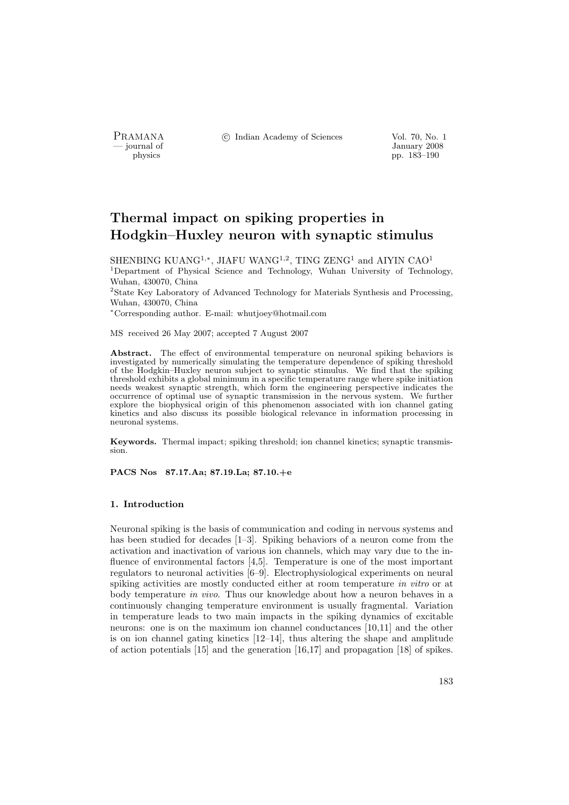PRAMANA °c Indian Academy of Sciences Vol. 70, No. 1

physics and the set of the set of the set of the set of the set of the set of the set of the set of the set of the set of the set of the set of the set of the set of the set of the set of the set of the set of the set of t pp. 183–190

# Thermal impact on spiking properties in Hodgkin–Huxley neuron with synaptic stimulus

SHENBING KUANG<sup>1,∗</sup>, JIAFU WANG<sup>1,2</sup>, TING ZENG<sup>1</sup> and AIYIN CAO<sup>1</sup> <sup>1</sup>Department of Physical Science and Technology, Wuhan University of Technology, Wuhan, 430070, China

<sup>2</sup>State Key Laboratory of Advanced Technology for Materials Synthesis and Processing, Wuhan, 430070, China

<sup>∗</sup>Corresponding author. E-mail: whutjoey@hotmail.com

MS received 26 May 2007; accepted 7 August 2007

Abstract. The effect of environmental temperature on neuronal spiking behaviors is investigated by numerically simulating the temperature dependence of spiking threshold of the Hodgkin–Huxley neuron subject to synaptic stimulus. We find that the spiking threshold exhibits a global minimum in a specific temperature range where spike initiation needs weakest synaptic strength, which form the engineering perspective indicates the occurrence of optimal use of synaptic transmission in the nervous system. We further explore the biophysical origin of this phenomenon associated with ion channel gating kinetics and also discuss its possible biological relevance in information processing in neuronal systems.

Keywords. Thermal impact; spiking threshold; ion channel kinetics; synaptic transmission.

PACS Nos 87.17.Aa; 87.19.La; 87.10.+e

#### 1. Introduction

Neuronal spiking is the basis of communication and coding in nervous systems and has been studied for decades [1–3]. Spiking behaviors of a neuron come from the activation and inactivation of various ion channels, which may vary due to the influence of environmental factors [4,5]. Temperature is one of the most important regulators to neuronal activities [6–9]. Electrophysiological experiments on neural spiking activities are mostly conducted either at room temperature in vitro or at body temperature in vivo. Thus our knowledge about how a neuron behaves in a continuously changing temperature environment is usually fragmental. Variation in temperature leads to two main impacts in the spiking dynamics of excitable neurons: one is on the maximum ion channel conductances [10,11] and the other is on ion channel gating kinetics [12–14], thus altering the shape and amplitude of action potentials [15] and the generation [16,17] and propagation [18] of spikes.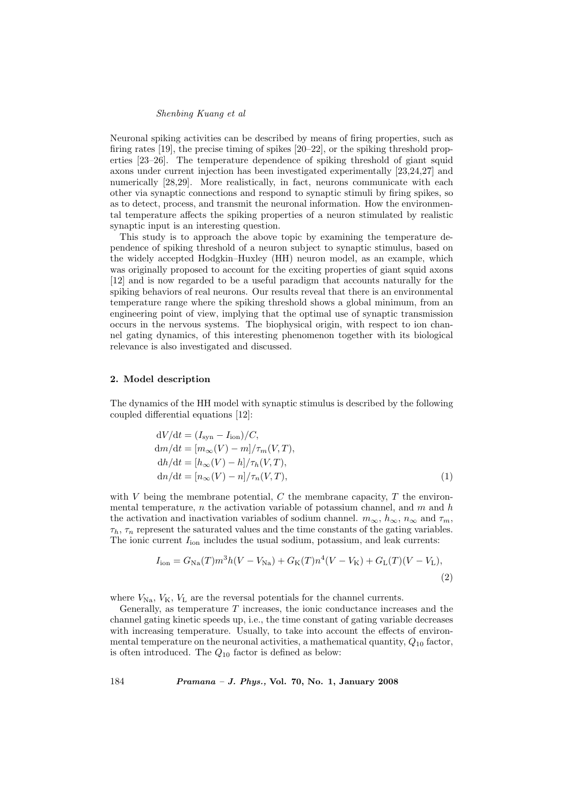## Shenbing Kuang et al

Neuronal spiking activities can be described by means of firing properties, such as firing rates [19], the precise timing of spikes [20–22], or the spiking threshold properties [23–26]. The temperature dependence of spiking threshold of giant squid axons under current injection has been investigated experimentally [23,24,27] and numerically [28,29]. More realistically, in fact, neurons communicate with each other via synaptic connections and respond to synaptic stimuli by firing spikes, so as to detect, process, and transmit the neuronal information. How the environmental temperature affects the spiking properties of a neuron stimulated by realistic synaptic input is an interesting question.

This study is to approach the above topic by examining the temperature dependence of spiking threshold of a neuron subject to synaptic stimulus, based on the widely accepted Hodgkin–Huxley (HH) neuron model, as an example, which was originally proposed to account for the exciting properties of giant squid axons [12] and is now regarded to be a useful paradigm that accounts naturally for the spiking behaviors of real neurons. Our results reveal that there is an environmental temperature range where the spiking threshold shows a global minimum, from an engineering point of view, implying that the optimal use of synaptic transmission occurs in the nervous systems. The biophysical origin, with respect to ion channel gating dynamics, of this interesting phenomenon together with its biological relevance is also investigated and discussed.

# 2. Model description

The dynamics of the HH model with synaptic stimulus is described by the following coupled differential equations [12]:

$$
dV/dt = (I_{syn} - I_{ion})/C,
$$
  
\n
$$
dm/dt = [m_{\infty}(V) - m]/\tau_m(V, T),
$$
  
\n
$$
dh/dt = [h_{\infty}(V) - h]/\tau_h(V, T),
$$
  
\n
$$
dn/dt = [n_{\infty}(V) - n]/\tau_n(V, T),
$$
\n(1)

with  $V$  being the membrane potential,  $C$  the membrane capacity,  $T$  the environmental temperature,  $n$  the activation variable of potassium channel, and  $m$  and  $h$ the activation and inactivation variables of sodium channel.  $m_{\infty}, h_{\infty}, n_{\infty}$  and  $\tau_m$ ,  $\tau_h$ ,  $\tau_n$  represent the saturated values and the time constants of the gating variables. The ionic current  $I_{\text{ion}}$  includes the usual sodium, potassium, and leak currents:

$$
I_{\rm ion} = G_{\rm Na}(T) m^3 h (V - V_{\rm Na}) + G_{\rm K}(T) n^4 (V - V_{\rm K}) + G_{\rm L}(T) (V - V_{\rm L}),
$$
\n(2)

where  $V_{\text{Na}}$ ,  $V_{\text{K}}$ ,  $V_{\text{L}}$  are the reversal potentials for the channel currents.

Generally, as temperature  $T$  increases, the ionic conductance increases and the channel gating kinetic speeds up, i.e., the time constant of gating variable decreases with increasing temperature. Usually, to take into account the effects of environmental temperature on the neuronal activities, a mathematical quantity,  $Q_{10}$  factor, is often introduced. The  $Q_{10}$  factor is defined as below:

184 Pramana – J. Phys., Vol. 70, No. 1, January 2008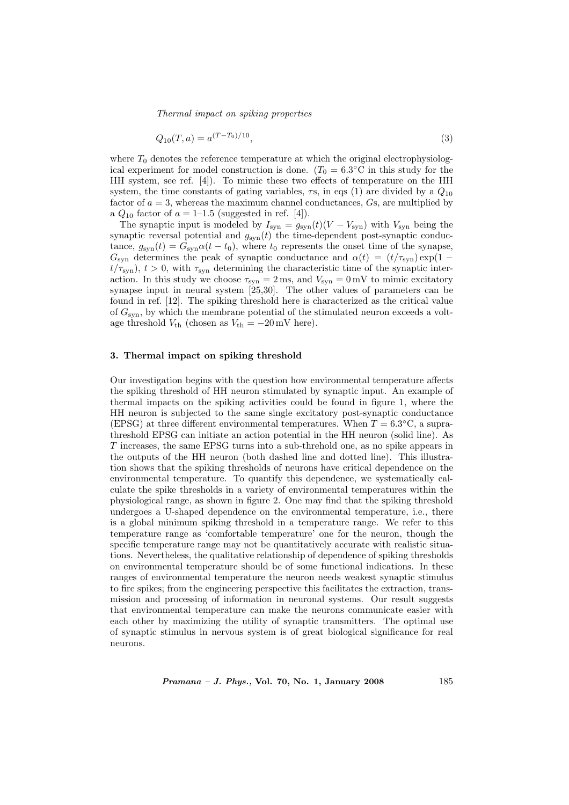Thermal impact on spiking properties

$$
Q_{10}(T,a) = a^{(T-T_0)/10},\tag{3}
$$

where  $T_0$  denotes the reference temperature at which the original electrophysiological experiment for model construction is done.  $(T_0 = 6.3^{\circ} \text{C}$  in this study for the HH system, see ref. [4]). To mimic these two effects of temperature on the HH system, the time constants of gating variables,  $\tau s$ , in eqs (1) are divided by a  $Q_{10}$ factor of  $a = 3$ , whereas the maximum channel conductances,  $G_s$ , are multiplied by a  $Q_{10}$  factor of  $a = 1$ –1.5 (suggested in ref. [4]).

The synaptic input is modeled by  $I_{syn} = g_{syn}(t)(V - V_{syn})$  with  $V_{syn}$  being the synaptic reversal potential and  $g_{syn}(t)$  the time-dependent post-synaptic conductance,  $g_{syn}(t) = G_{syn}\alpha(t - t_0)$ , where  $t_0$  represents the onset time of the synapse,  $G_{syn}$  determines the peak of synaptic conductance and  $\alpha(t) = (t/\tau_{syn}) \exp(1$  $t/\tau_{syn}$ ,  $t > 0$ , with  $\tau_{syn}$  determining the characteristic time of the synaptic interaction. In this study we choose  $\tau_{syn} = 2 \,\text{ms}$ , and  $V_{syn} = 0 \,\text{mV}$  to mimic excitatory synapse input in neural system [25,30]. The other values of parameters can be found in ref. [12]. The spiking threshold here is characterized as the critical value of  $G_{syn}$ , by which the membrane potential of the stimulated neuron exceeds a voltage threshold  $V_{\text{th}}$  (chosen as  $V_{\text{th}} = -20 \text{ mV}$  here).

### 3. Thermal impact on spiking threshold

Our investigation begins with the question how environmental temperature affects the spiking threshold of HH neuron stimulated by synaptic input. An example of thermal impacts on the spiking activities could be found in figure 1, where the HH neuron is subjected to the same single excitatory post-synaptic conductance (EPSG) at three different environmental temperatures. When  $T = 6.3^{\circ}\text{C}$ , a suprathreshold EPSG can initiate an action potential in the HH neuron (solid line). As T increases, the same EPSG turns into a sub-threhold one, as no spike appears in the outputs of the HH neuron (both dashed line and dotted line). This illustration shows that the spiking thresholds of neurons have critical dependence on the environmental temperature. To quantify this dependence, we systematically calculate the spike thresholds in a variety of environmental temperatures within the physiological range, as shown in figure 2. One may find that the spiking threshold undergoes a U-shaped dependence on the environmental temperature, i.e., there is a global minimum spiking threshold in a temperature range. We refer to this temperature range as 'comfortable temperature' one for the neuron, though the specific temperature range may not be quantitatively accurate with realistic situations. Nevertheless, the qualitative relationship of dependence of spiking thresholds on environmental temperature should be of some functional indications. In these ranges of environmental temperature the neuron needs weakest synaptic stimulus to fire spikes; from the engineering perspective this facilitates the extraction, transmission and processing of information in neuronal systems. Our result suggests that environmental temperature can make the neurons communicate easier with each other by maximizing the utility of synaptic transmitters. The optimal use of synaptic stimulus in nervous system is of great biological significance for real neurons.

*Pramana – J. Phys.*, Vol. 70, No. 1, January 2008 185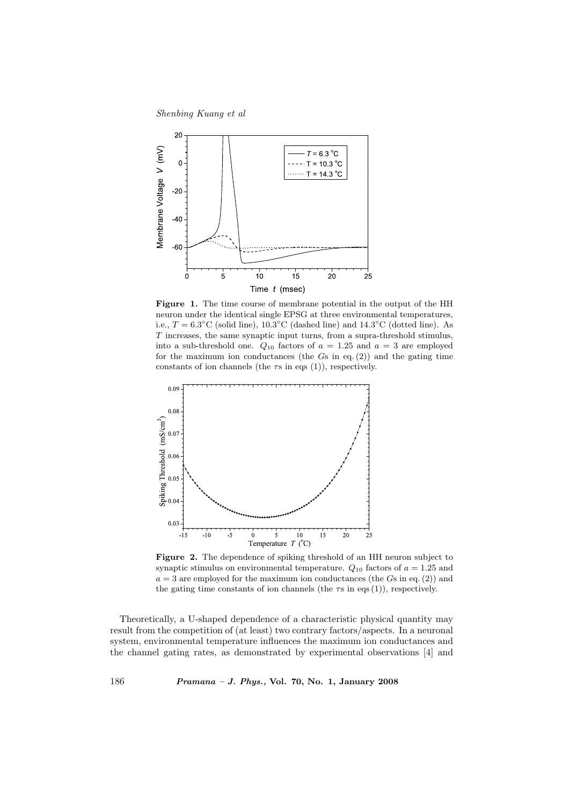Shenbing Kuang et al



Figure 1. The time course of membrane potential in the output of the HH neuron under the identical single EPSG at three environmental temperatures, i.e.,  $T = 6.3^{\circ}\text{C}$  (solid line),  $10.3^{\circ}\text{C}$  (dashed line) and  $14.3^{\circ}\text{C}$  (dotted line). As T increases, the same synaptic input turns, from a supra-threshold stimulus, into a sub-threshold one.  $Q_{10}$  factors of  $a = 1.25$  and  $a = 3$  are employed for the maximum ion conductances (the  $G_s$  in eq. (2)) and the gating time constants of ion channels (the  $\tau s$  in eqs (1)), respectively.



Figure 2. The dependence of spiking threshold of an HH neuron subject to synaptic stimulus on environmental temperature.  $Q_{10}$  factors of  $a = 1.25$  and  $a = 3$  are employed for the maximum ion conductances (the Gs in eq. (2)) and the gating time constants of ion channels (the  $\tau s$  in eqs (1)), respectively.

Theoretically, a U-shaped dependence of a characteristic physical quantity may result from the competition of (at least) two contrary factors/aspects. In a neuronal system, environmental temperature influences the maximum ion conductances and the channel gating rates, as demonstrated by experimental observations [4] and

186 Pramana – J. Phys., Vol. 70, No. 1, January 2008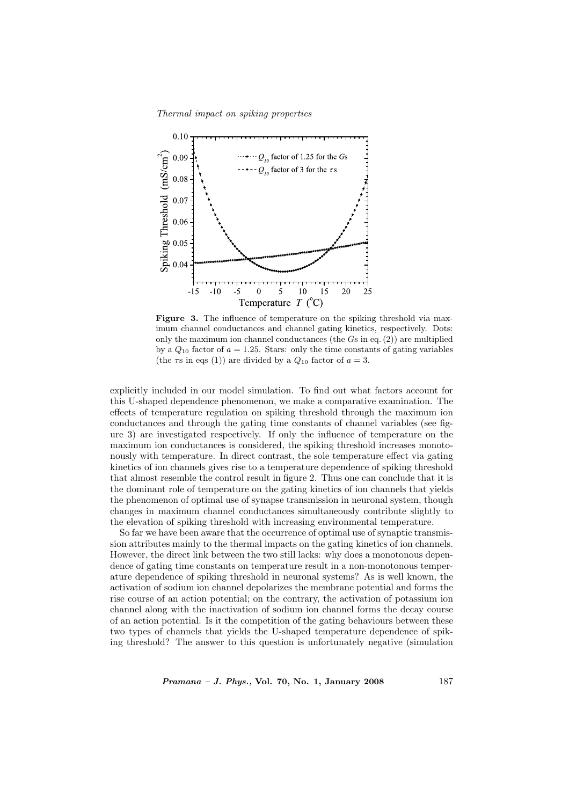Thermal impact on spiking properties



Figure 3. The influence of temperature on the spiking threshold via maximum channel conductances and channel gating kinetics, respectively. Dots: only the maximum ion channel conductances (the  $G_s$  in eq. (2)) are multiplied by a  $Q_{10}$  factor of  $a = 1.25$ . Stars: only the time constants of gating variables (the  $\tau$ s in eqs (1)) are divided by a  $Q_{10}$  factor of  $a = 3$ .

explicitly included in our model simulation. To find out what factors account for this U-shaped dependence phenomenon, we make a comparative examination. The effects of temperature regulation on spiking threshold through the maximum ion conductances and through the gating time constants of channel variables (see figure 3) are investigated respectively. If only the influence of temperature on the maximum ion conductances is considered, the spiking threshold increases monotonously with temperature. In direct contrast, the sole temperature effect via gating kinetics of ion channels gives rise to a temperature dependence of spiking threshold that almost resemble the control result in figure 2. Thus one can conclude that it is the dominant role of temperature on the gating kinetics of ion channels that yields the phenomenon of optimal use of synapse transmission in neuronal system, though changes in maximum channel conductances simultaneously contribute slightly to the elevation of spiking threshold with increasing environmental temperature.

So far we have been aware that the occurrence of optimal use of synaptic transmission attributes mainly to the thermal impacts on the gating kinetics of ion channels. However, the direct link between the two still lacks: why does a monotonous dependence of gating time constants on temperature result in a non-monotonous temperature dependence of spiking threshold in neuronal systems? As is well known, the activation of sodium ion channel depolarizes the membrane potential and forms the rise course of an action potential; on the contrary, the activation of potassium ion channel along with the inactivation of sodium ion channel forms the decay course of an action potential. Is it the competition of the gating behaviours between these two types of channels that yields the U-shaped temperature dependence of spiking threshold? The answer to this question is unfortunately negative (simulation

*Pramana – J. Phys.*, Vol. 70, No. 1, January 2008 187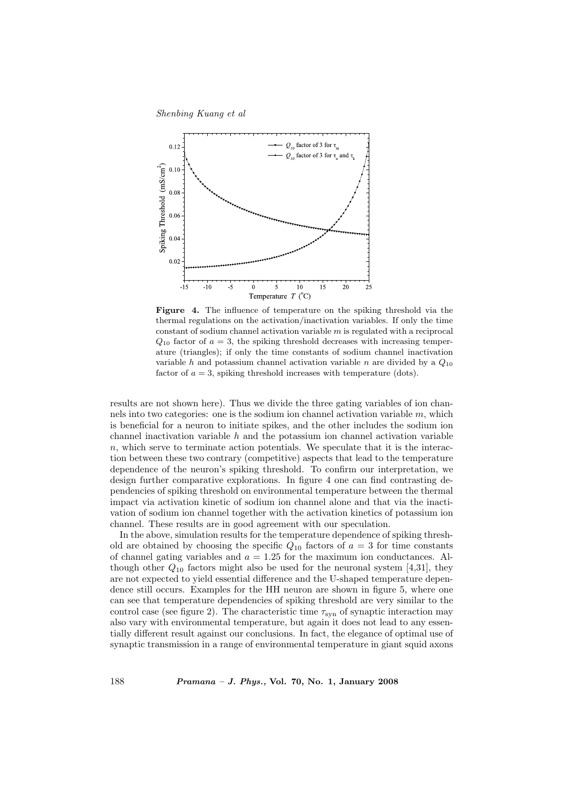Shenbing Kuang et al



Figure 4. The influence of temperature on the spiking threshold via the thermal regulations on the activation/inactivation variables. If only the time constant of sodium channel activation variable  $m$  is regulated with a reciprocal  $Q_{10}$  factor of  $a = 3$ , the spiking threshold decreases with increasing temperature (triangles); if only the time constants of sodium channel inactivation variable h and potassium channel activation variable n are divided by a  $Q_{10}$ factor of  $a = 3$ , spiking threshold increases with temperature (dots).

results are not shown here). Thus we divide the three gating variables of ion channels into two categories: one is the sodium ion channel activation variable  $m$ , which is beneficial for a neuron to initiate spikes, and the other includes the sodium ion channel inactivation variable  $h$  and the potassium ion channel activation variable  $n$ , which serve to terminate action potentials. We speculate that it is the interaction between these two contrary (competitive) aspects that lead to the temperature dependence of the neuron's spiking threshold. To confirm our interpretation, we design further comparative explorations. In figure 4 one can find contrasting dependencies of spiking threshold on environmental temperature between the thermal impact via activation kinetic of sodium ion channel alone and that via the inactivation of sodium ion channel together with the activation kinetics of potassium ion channel. These results are in good agreement with our speculation.

In the above, simulation results for the temperature dependence of spiking threshold are obtained by choosing the specific  $Q_{10}$  factors of  $a = 3$  for time constants of channel gating variables and  $a = 1.25$  for the maximum ion conductances. Although other  $Q_{10}$  factors might also be used for the neuronal system [4,31], they are not expected to yield essential difference and the U-shaped temperature dependence still occurs. Examples for the HH neuron are shown in figure 5, where one can see that temperature dependencies of spiking threshold are very similar to the control case (see figure 2). The characteristic time  $\tau_{syn}$  of synaptic interaction may also vary with environmental temperature, but again it does not lead to any essentially different result against our conclusions. In fact, the elegance of optimal use of synaptic transmission in a range of environmental temperature in giant squid axons

188 Pramana – J. Phys., Vol. 70, No. 1, January 2008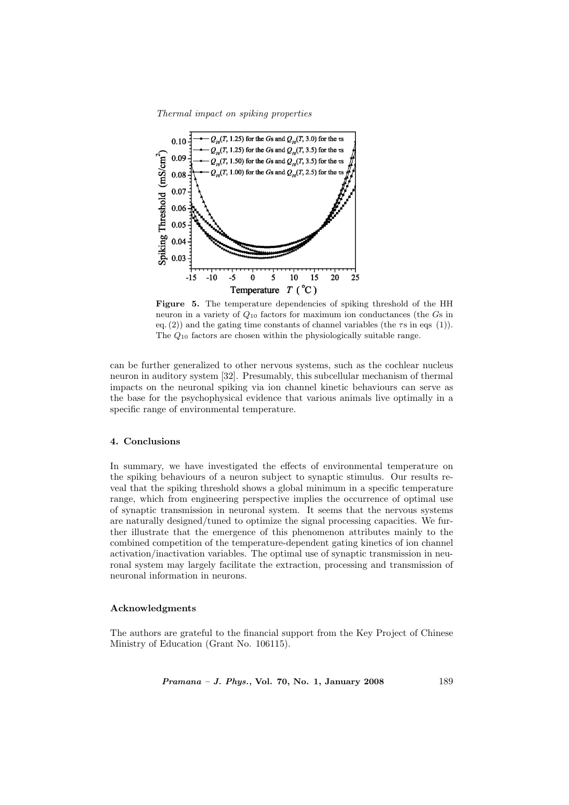Thermal impact on spiking properties



Figure 5. The temperature dependencies of spiking threshold of the HH neuron in a variety of  $Q_{10}$  factors for maximum ion conductances (the  $G\text{s}$  in eq. (2)) and the gating time constants of channel variables (the  $\tau$ s in eqs (1)). The Q<sup>10</sup> factors are chosen within the physiologically suitable range.

can be further generalized to other nervous systems, such as the cochlear nucleus neuron in auditory system [32]. Presumably, this subcellular mechanism of thermal impacts on the neuronal spiking via ion channel kinetic behaviours can serve as the base for the psychophysical evidence that various animals live optimally in a specific range of environmental temperature.

### 4. Conclusions

In summary, we have investigated the effects of environmental temperature on the spiking behaviours of a neuron subject to synaptic stimulus. Our results reveal that the spiking threshold shows a global minimum in a specific temperature range, which from engineering perspective implies the occurrence of optimal use of synaptic transmission in neuronal system. It seems that the nervous systems are naturally designed/tuned to optimize the signal processing capacities. We further illustrate that the emergence of this phenomenon attributes mainly to the combined competition of the temperature-dependent gating kinetics of ion channel activation/inactivation variables. The optimal use of synaptic transmission in neuronal system may largely facilitate the extraction, processing and transmission of neuronal information in neurons.

#### Acknowledgments

The authors are grateful to the financial support from the Key Project of Chinese Ministry of Education (Grant No. 106115).

*Pramana – J. Phys.*, Vol. 70, No. 1, January 2008 189